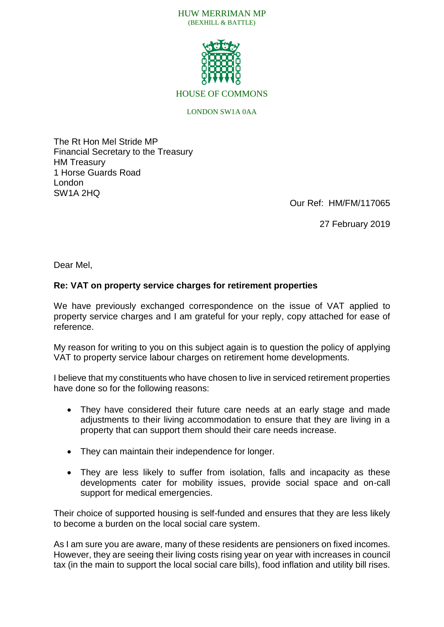

HOUSE OF COMMONS

## LONDON SW1A 0AA

The Rt Hon Mel Stride MP Financial Secretary to the Treasury HM Treasury 1 Horse Guards Road London SW1A 2HQ

Our Ref: HM/FM/117065

27 February 2019

Dear Mel,

## **Re: VAT on property service charges for retirement properties**

We have previously exchanged correspondence on the issue of VAT applied to property service charges and I am grateful for your reply, copy attached for ease of reference.

My reason for writing to you on this subject again is to question the policy of applying VAT to property service labour charges on retirement home developments.

I believe that my constituents who have chosen to live in serviced retirement properties have done so for the following reasons:

- They have considered their future care needs at an early stage and made adjustments to their living accommodation to ensure that they are living in a property that can support them should their care needs increase.
- They can maintain their independence for longer.
- They are less likely to suffer from isolation, falls and incapacity as these developments cater for mobility issues, provide social space and on-call support for medical emergencies.

Their choice of supported housing is self-funded and ensures that they are less likely to become a burden on the local social care system.

As I am sure you are aware, many of these residents are pensioners on fixed incomes. However, they are seeing their living costs rising year on year with increases in council tax (in the main to support the local social care bills), food inflation and utility bill rises.